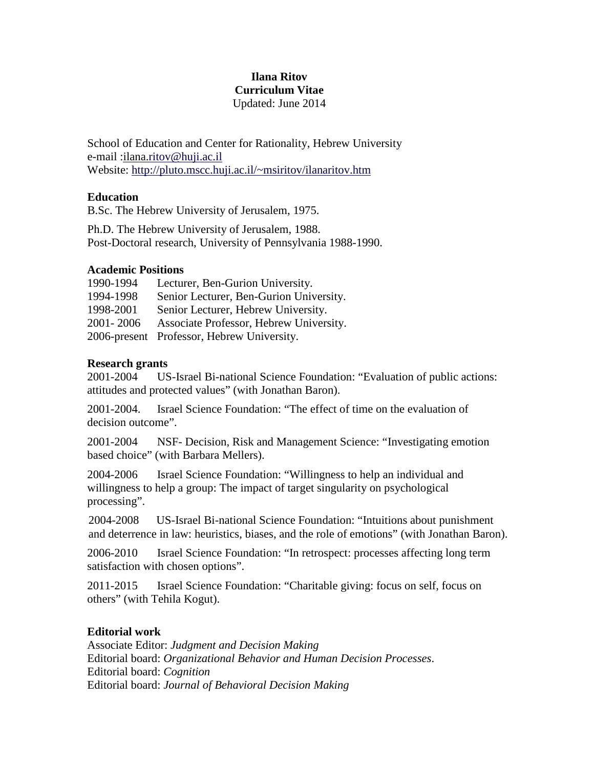### **Ilana Ritov Curriculum Vitae** Updated: June 2014

School of Education and Center for Rationality, Hebrew University e-mail :ilana[.ritov@huji.ac.il](mailto:ritov@huji.ac.il) Website:<http://pluto.mscc.huji.ac.il/~msiritov/ilanaritov.htm>

## **Education**

B.Sc. The Hebrew University of Jerusalem, 1975.

Ph.D. The Hebrew University of Jerusalem, 1988. Post-Doctoral research, University of Pennsylvania 1988-1990.

### *0B***Academic Positions**

| 1990-1994 | Lecturer, Ben-Gurion University.           |
|-----------|--------------------------------------------|
| 1994-1998 | Senior Lecturer, Ben-Gurion University.    |
| 1998-2001 | Senior Lecturer, Hebrew University.        |
| 2001-2006 | Associate Professor, Hebrew University.    |
|           | 2006-present Professor, Hebrew University. |

### **Research grants**

2001-2004 US-Israel Bi-national Science Foundation: "Evaluation of public actions: attitudes and protected values" (with Jonathan Baron).

2001-2004. Israel Science Foundation: "The effect of time on the evaluation of decision outcome".

2001-2004 NSF- Decision, Risk and Management Science: "Investigating emotion based choice" (with Barbara Mellers).

2004-2006 Israel Science Foundation: "Willingness to help an individual and willingness to help a group: The impact of target singularity on psychological processing".

2004-2008 US-Israel Bi-national Science Foundation: "Intuitions about punishment and deterrence in law: heuristics, biases, and the role of emotions" (with Jonathan Baron).

2006-2010 Israel Science Foundation: "In retrospect: processes affecting long term satisfaction with chosen options".

2011-2015 Israel Science Foundation: "Charitable giving: focus on self, focus on others" (with Tehila Kogut).

# **Editorial work**

Associate Editor: *Judgment and Decision Making* Editorial board: *Organizational Behavior and Human Decision Processes*. Editorial board: *Cognition* Editorial board: *Journal of Behavioral Decision Making*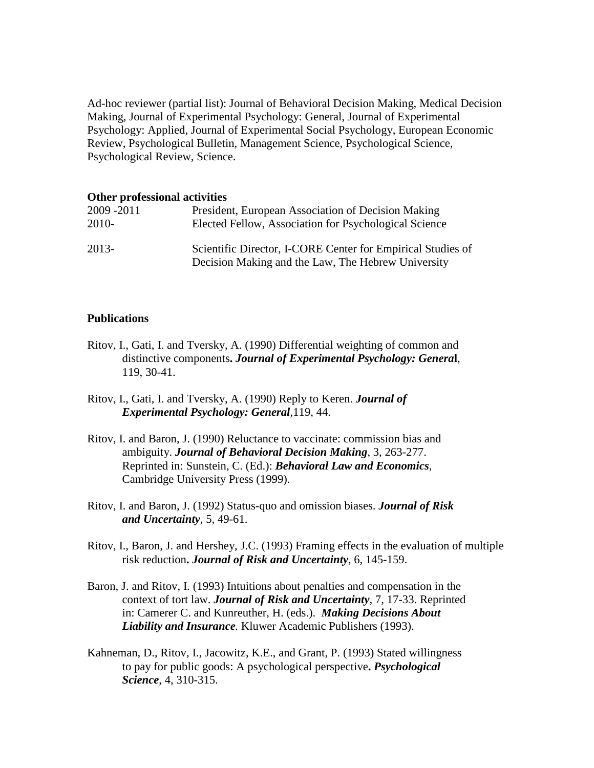Ad-hoc reviewer (partial list): Journal of Behavioral Decision Making, Medical Decision Making, Journal of Experimental Psychology: General, Journal of Experimental Psychology: Applied, Journal of Experimental Social Psychology, European Economic Review, Psychological Bulletin, Management Science, Psychological Science, Psychological Review, Science.

#### **Other professional activities**

| 2009 -2011 | President, European Association of Decision Making                                                                |
|------------|-------------------------------------------------------------------------------------------------------------------|
| 2010-      | Elected Fellow, Association for Psychological Science                                                             |
| 2013-      | Scientific Director, I-CORE Center for Empirical Studies of<br>Decision Making and the Law, The Hebrew University |

#### **Publications**

- Ritov, I., Gati, I. and Tversky, A. (1990) Differential weighting of common and distinctive components**.** *Journal of Experimental Psychology: Genera***l**, 119, 30-41.
- Ritov, I., Gati, I. and Tversky, A. (1990) Reply to Keren. *Journal of Experimental Psychology: General,*119, 44.
- Ritov, I. and Baron, J. (1990) Reluctance to vaccinate: commission bias and ambiguity. *Journal of Behavioral Decision Making*, 3, 263-277. Reprinted in: Sunstein, C. (Ed.): *Behavioral Law and Economics*, Cambridge University Press (1999).
- Ritov, I. and Baron, J. (1992) Status-quo and omission biases. *Journal of Risk and Uncertainty,* 5, 49-61.
- Ritov, I., Baron, J. and Hershey, J.C. (1993) Framing effects in the evaluation of multiple risk reduction**.** *Journal of Risk and Uncertainty*, 6, 145-159.
- Baron, J. and Ritov, I. (1993) Intuitions about penalties and compensation in the context of tort law. *Journal of Risk and Uncertainty,* 7, 17-33. Reprinted in: Camerer C. and Kunreuther, H. (eds.). *Making Decisions About Liability and Insurance.* Kluwer Academic Publishers (1993).
- Kahneman, D., Ritov, I., Jacowitz, K.E., and Grant, P. (1993) Stated willingness to pay for public goods: A psychological perspective**.** *Psychological Science*, 4, 310-315.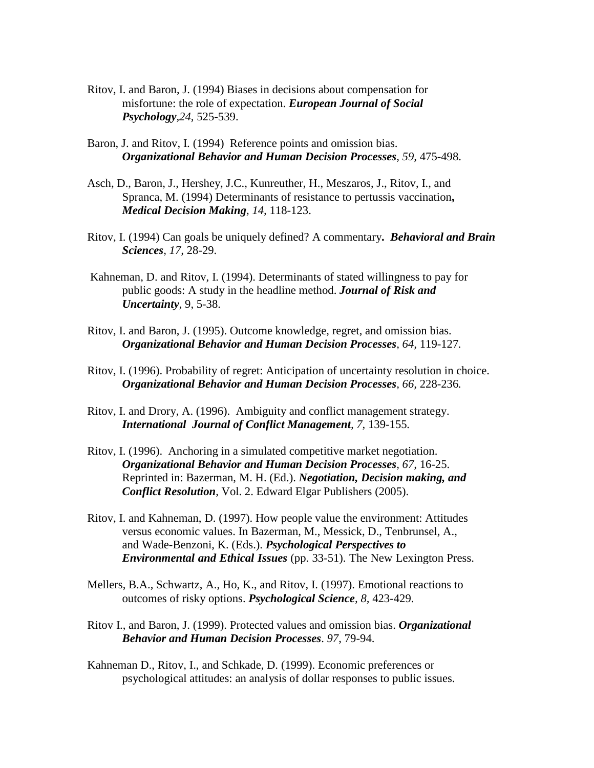- Ritov, I. and Baron, J. (1994) Biases in decisions about compensation for misfortune: the role of expectation. *European Journal of Social Psychology,24,* 525-539.
- Baron, J. and Ritov, I. (1994) Reference points and omission bias. *Organizational Behavior and Human Decision Processes, 59,* 475-498.
- Asch, D., Baron, J., Hershey, J.C., Kunreuther, H., Meszaros, J., Ritov, I., and Spranca, M. (1994) Determinants of resistance to pertussis vaccination**,**  *Medical Decision Making, 14,* 118-123.
- Ritov, I. (1994) Can goals be uniquely defined? A commentary**.** *Behavioral and Brain Sciences, 17,* 28-29.
- Kahneman, D. and Ritov, I. (1994). Determinants of stated willingness to pay for public goods: A study in the headline method. *Journal of Risk and Uncertainty*, 9, 5-38.
- Ritov, I. and Baron, J. (1995). Outcome knowledge, regret, and omission bias. *Organizational Behavior and Human Decision Processes, 64,* 119-127*.*
- Ritov, I. (1996). Probability of regret: Anticipation of uncertainty resolution in choice. *Organizational Behavior and Human Decision Processes, 66,* 228-236*.*
- Ritov, I. and Drory, A. (1996). Ambiguity and conflict management strategy. *International Journal of Conflict Management, 7,* 139-155*.*
- Ritov, I. (1996). Anchoring in a simulated competitive market negotiation. *Organizational Behavior and Human Decision Processes, 67,* 16-25. Reprinted in: Bazerman, M. H. (Ed.). *Negotiation, Decision making, and Conflict Resolution*, Vol. 2. Edward Elgar Publishers (2005).
- Ritov, I. and Kahneman, D. (1997). How people value the environment: Attitudes versus economic values. In Bazerman, M., Messick, D., Tenbrunsel, A., and Wade-Benzoni, K. (Eds.). *Psychological Perspectives to Environmental and Ethical Issues* (pp. 33-51). The New Lexington Press.
- Mellers, B.A., Schwartz, A., Ho, K., and Ritov, I. (1997). Emotional reactions to outcomes of risky options. *Psychological Science, 8,* 423-429.
- Ritov I., and Baron, J. (1999). Protected values and omission bias. *Organizational Behavior and Human Decision Processes*. *97*, 79-94.
- Kahneman D., Ritov, I., and Schkade, D. (1999). Economic preferences or psychological attitudes: an analysis of dollar responses to public issues.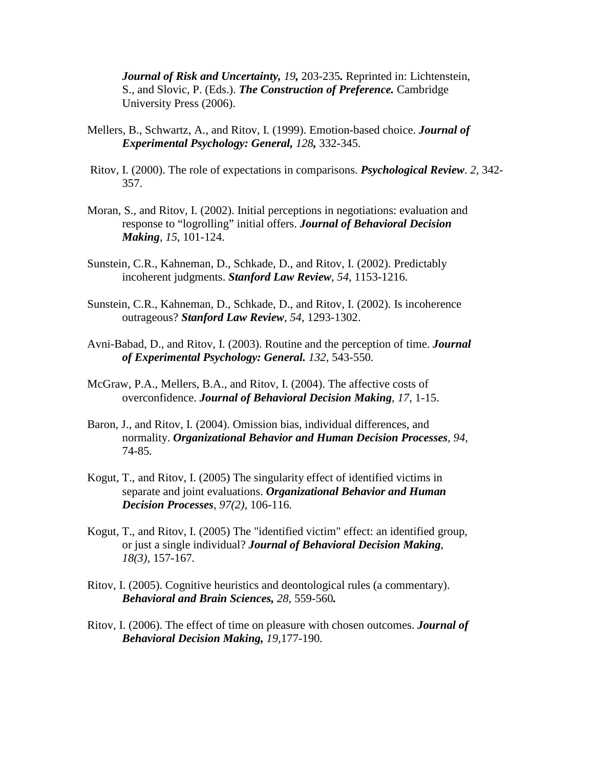*Journal of Risk and Uncertainty, 19,* 203-235*.* Reprinted in: Lichtenstein, S., and Slovic, P. (Eds.). *The Construction of Preference.* Cambridge University Press (2006).

- Mellers, B., Schwartz, A., and Ritov, I. (1999). Emotion-based choice. *Journal of Experimental Psychology: General, 128,* 332-345*.*
- Ritov, I. (2000). The role of expectations in comparisons. *Psychological Review*. *2,* 342- 357.
- Moran, S., and Ritov, I. (2002). Initial perceptions in negotiations: evaluation and response to "logrolling" initial offers. *Journal of Behavioral Decision Making*, *15*, 101-124.
- Sunstein, C.R., Kahneman, D., Schkade, D., and Ritov, I. (2002). Predictably incoherent judgments. *Stanford Law Review*, *54*, 1153-1216.
- Sunstein, C.R., Kahneman, D., Schkade, D., and Ritov, I. (2002). Is incoherence outrageous? *Stanford Law Review*, *54*, 1293-1302.
- Avni-Babad, D., and Ritov, I. (2003). Routine and the perception of time. *Journal of Experimental Psychology: General. 132,* 543-550*.*
- McGraw, P.A., Mellers, B.A., and Ritov, I. (2004). The affective costs of overconfidence. *Journal of Behavioral Decision Making*, *17*, 1-15.
- Baron, J., and Ritov, I. (2004). Omission bias, individual differences, and normality. *Organizational Behavior and Human Decision Processes*, *94*, 74-85*.*
- Kogut, T., and Ritov, I. (2005) The singularity effect of identified victims in separate and joint evaluations. *Organizational Behavior and Human Decision Processes*, *97(2),* 106-116*.*
- Kogut, T., and Ritov, I. (2005) The "identified victim" effect: an identified group, or just a single individual? *Journal of Behavioral Decision Making*, *18(3),* 157-167*.*
- Ritov, I. (2005). Cognitive heuristics and deontological rules (a commentary). *Behavioral and Brain Sciences, 28,* 559-560*.*
- Ritov, I. (2006). The effect of time on pleasure with chosen outcomes. *Journal of Behavioral Decision Making, 19,*177-190*.*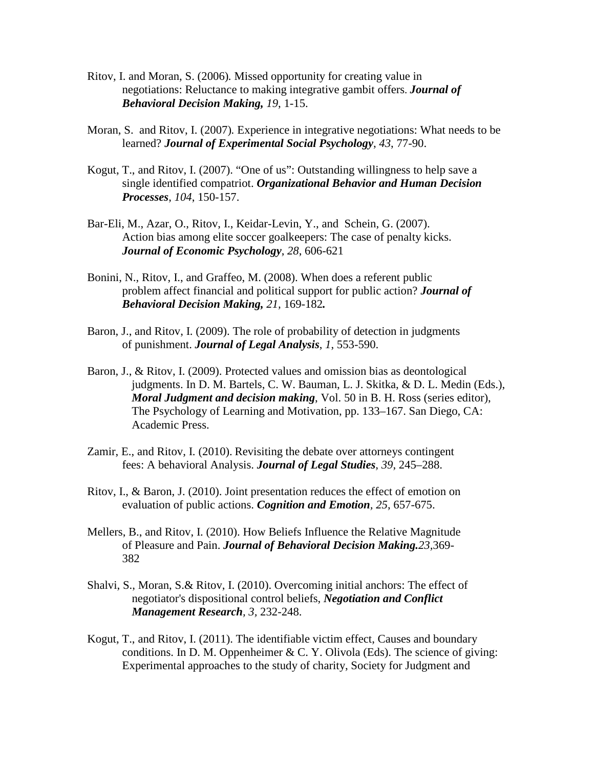- Ritov, I. and Moran, S. (2006)*.* Missed opportunity for creating value in negotiations: Reluctance to making integrative gambit offers. *Journal of Behavioral Decision Making, 19*, 1-15.
- Moran, S. and Ritov, I. (2007)*.* Experience in integrative negotiations: What needs to be learned? *Journal of Experimental Social Psychology*, *43*, 77-90.
- Kogut, T., and Ritov, I. (2007). "One of us": Outstanding willingness to help save a single identified compatriot. *Organizational Behavior and Human Decision Processes*, *104*, 150-157.
- Bar-Eli, M., Azar, O., Ritov, I., Keidar-Levin, Y., and Schein, G. (2007). Action bias among elite soccer goalkeepers: The case of penalty kicks. *Journal of Economic Psychology*, *28*, 606-621
- Bonini, N., Ritov, I., and Graffeo, M. (2008). When does a referent public problem affect financial and political support for public action? *Journal of Behavioral Decision Making, 21,* 169-182*.*
- Baron, J., and Ritov, I. (2009). The role of probability of detection in judgments of punishment. *Journal of Legal Analysis*, *1*, 553-590.
- Baron, J., & Ritov, I. (2009). Protected values and omission bias as deontological judgments. In D. M. Bartels, C. W. Bauman, L. J. Skitka, & D. L. Medin (Eds.), *Moral Judgment and decision making*, Vol. 50 in B. H. Ross (series editor), The Psychology of Learning and Motivation, pp. 133–167. San Diego, CA: Academic Press.
- Zamir, E., and Ritov, I. (2010). Revisiting the debate over attorneys contingent fees: A behavioral Analysis. *Journal of Legal Studies*, *39*, 245–288.
- Ritov, I., & Baron, J. (2010). Joint presentation reduces the effect of emotion on evaluation of public actions. *Cognition and Emotion, 25*, 657-675.
- Mellers, B., and Ritov, I. (2010). How Beliefs Influence the Relative Magnitude of Pleasure and Pain. *Journal of Behavioral Decision Making.23,*369- 382
- Shalvi, S., Moran, S.& Ritov, I. (2010). Overcoming initial anchors: The effect of negotiator's dispositional control beliefs, *Negotiation and Conflict Management Research, 3,* 232-248.
- Kogut, T., and Ritov, I. (2011). The identifiable victim effect, Causes and boundary conditions. In D. M. Oppenheimer  $& C. Y.$  Olivola (Eds). The science of giving: Experimental approaches to the study of charity, Society for Judgment and